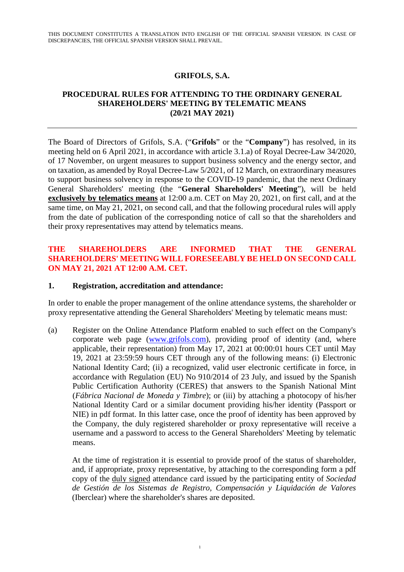## **GRIFOLS, S.A.**

### **PROCEDURAL RULES FOR ATTENDING TO THE ORDINARY GENERAL SHAREHOLDERS' MEETING BY TELEMATIC MEANS (20/21 MAY 2021)**

The Board of Directors of Grifols, S.A. ("**Grifols**" or the "**Company**") has resolved, in its meeting held on 6 April 2021, in accordance with article 3.1.a) of Royal Decree-Law 34/2020, of 17 November, on urgent measures to support business solvency and the energy sector, and on taxation, as amended by Royal Decree-Law 5/2021, of 12 March, on extraordinary measures to support business solvency in response to the COVID-19 pandemic, that the next Ordinary General Shareholders' meeting (the "**General Shareholders' Meeting**"), will be held **exclusively by telematics means** at 12:00 a.m. CET on May 20, 2021, on first call, and at the same time, on May 21, 2021, on second call, and that the following procedural rules will apply from the date of publication of the corresponding notice of call so that the shareholders and their proxy representatives may attend by telematics means.

## **THE SHAREHOLDERS ARE INFORMED THAT THE GENERAL SHAREHOLDERS' MEETING WILL FORESEEABLY BE HELD ON SECOND CALL ON MAY 21, 2021 AT 12:00 A.M. CET.**

#### **1. Registration, accreditation and attendance:**

In order to enable the proper management of the online attendance systems, the shareholder or proxy representative attending the General Shareholders' Meeting by telematic means must:

(a) Register on the Online Attendance Platform enabled to such effect on the Company's corporate web page (www.grifols.com), providing proof of identity (and, where applicable, their representation) from May 17, 2021 at 00:00:01 hours CET until May 19, 2021 at 23:59:59 hours CET through any of the following means: (i) Electronic National Identity Card; (ii) a recognized, valid user electronic certificate in force, in accordance with Regulation (EU) No 910/2014 of 23 July, and issued by the Spanish Public Certification Authority (CERES) that answers to the Spanish National Mint (*Fábrica Nacional de Moneda y Timbre*); or (iii) by attaching a photocopy of his/her National Identity Card or a similar document providing his/her identity (Passport or NIE) in pdf format. In this latter case, once the proof of identity has been approved by the Company, the duly registered shareholder or proxy representative will receive a username and a password to access to the General Shareholders' Meeting by telematic means.

At the time of registration it is essential to provide proof of the status of shareholder, and, if appropriate, proxy representative, by attaching to the corresponding form a pdf copy of the duly signed attendance card issued by the participating entity of *Sociedad de Gestión de los Sistemas de Registro, Compensación y Liquidación de Valores* (Iberclear) where the shareholder's shares are deposited.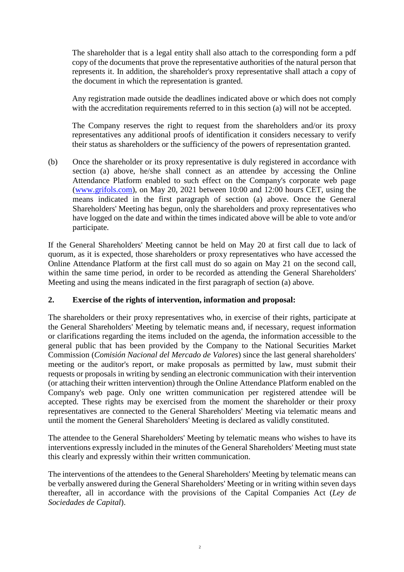The shareholder that is a legal entity shall also attach to the corresponding form a pdf copy of the documents that prove the representative authorities of the natural person that represents it. In addition, the shareholder's proxy representative shall attach a copy of the document in which the representation is granted.

Any registration made outside the deadlines indicated above or which does not comply with the accreditation requirements referred to in this section (a) will not be accepted.

The Company reserves the right to request from the shareholders and/or its proxy representatives any additional proofs of identification it considers necessary to verify their status as shareholders or the sufficiency of the powers of representation granted.

(b) Once the shareholder or its proxy representative is duly registered in accordance with section (a) above, he/she shall connect as an attendee by accessing the Online Attendance Platform enabled to such effect on the Company's corporate web page (www.grifols.com), on May 20, 2021 between 10:00 and 12:00 hours CET, using the means indicated in the first paragraph of section (a) above. Once the General Shareholders' Meeting has begun, only the shareholders and proxy representatives who have logged on the date and within the times indicated above will be able to vote and/or participate.

If the General Shareholders' Meeting cannot be held on May 20 at first call due to lack of quorum, as it is expected, those shareholders or proxy representatives who have accessed the Online Attendance Platform at the first call must do so again on May 21 on the second call, within the same time period, in order to be recorded as attending the General Shareholders' Meeting and using the means indicated in the first paragraph of section (a) above.

## **2. Exercise of the rights of intervention, information and proposal:**

The shareholders or their proxy representatives who, in exercise of their rights, participate at the General Shareholders' Meeting by telematic means and, if necessary, request information or clarifications regarding the items included on the agenda, the information accessible to the general public that has been provided by the Company to the National Securities Market Commission (*Comisión Nacional del Mercado de Valores*) since the last general shareholders' meeting or the auditor's report, or make proposals as permitted by law, must submit their requests or proposals in writing by sending an electronic communication with their intervention (or attaching their written intervention) through the Online Attendance Platform enabled on the Company's web page. Only one written communication per registered attendee will be accepted. These rights may be exercised from the moment the shareholder or their proxy representatives are connected to the General Shareholders' Meeting via telematic means and until the moment the General Shareholders' Meeting is declared as validly constituted.

The attendee to the General Shareholders' Meeting by telematic means who wishes to have its interventions expressly included in the minutes of the General Shareholders' Meeting must state this clearly and expressly within their written communication.

The interventions of the attendees to the General Shareholders' Meeting by telematic means can be verbally answered during the General Shareholders' Meeting or in writing within seven days thereafter, all in accordance with the provisions of the Capital Companies Act (*Ley de Sociedades de Capital*).